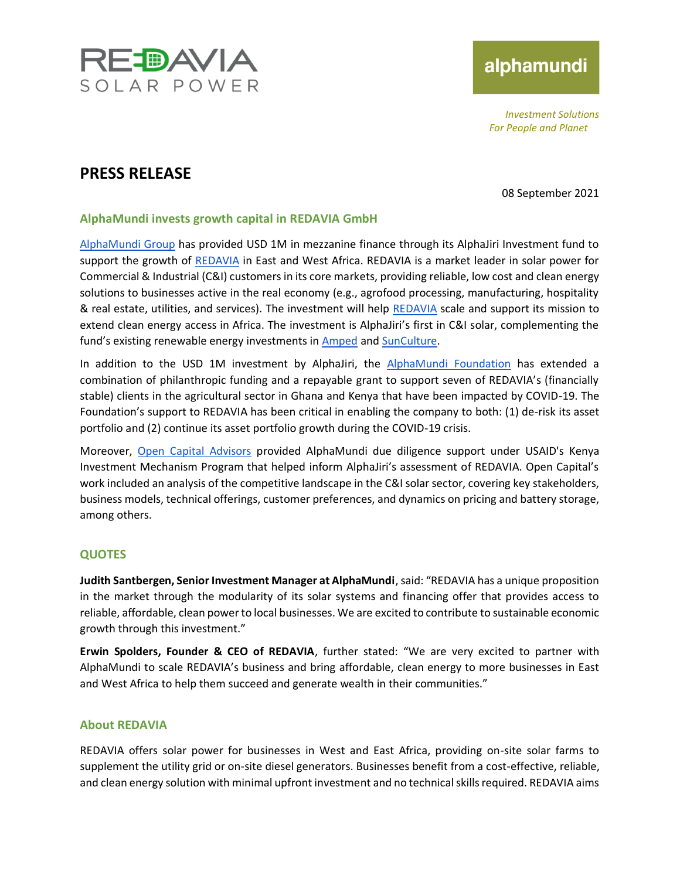

# alphamundi

*Investment Solutions For People and Planet*

### **PRESS RELEASE**

08 September 2021

#### **AlphaMundi invests growth capital in REDAVIA GmbH**

[AlphaMundi Group](https://www.alphamundigroup.com/) has provided USD 1M in mezzanine finance through its AlphaJiri Investment fund to support the growth of [REDAVIA](https://www.redaviasolar.com/) in East and West Africa. REDAVIA is a market leader in solar power for Commercial & Industrial (C&I) customers in its core markets, providing reliable, low cost and clean energy solutions to businesses active in the real economy (e.g., agrofood processing, manufacturing, hospitality & real estate, utilities, and services). The investment will help [REDAVIA](https://www.redaviasolar.com/) scale and support its mission to extend clean energy access in Africa. The investment is AlphaJiri's first in C&I solar, complementing the fund's existing renewable energy investments in [Amped](https://www.ampedinnovation.com/) and [SunCulture.](https://sunculture.com/)

In addition to the USD 1M investment by AlphaJiri, the [AlphaMundi Foundation](http://www.alphamundifoundation.org/) has extended a combination of philanthropic funding and a repayable grant to support seven of REDAVIA's (financially stable) clients in the agricultural sector in Ghana and Kenya that have been impacted by COVID-19. The Foundation's support to REDAVIA has been critical in enabling the company to both: (1) de-risk its asset portfolio and (2) continue its asset portfolio growth during the COVID-19 crisis.

Moreover, [Open Capital Advisors](https://opencapital.com/) provided AlphaMundi due diligence support under USAID's Kenya Investment Mechanism Program that helped inform AlphaJiri's assessment of REDAVIA. Open Capital's work included an analysis of the competitive landscape in the C&I solar sector, covering key stakeholders, business models, technical offerings, customer preferences, and dynamics on pricing and battery storage, among others.

### **QUOTES**

**Judith Santbergen, Senior Investment Manager at AlphaMundi**, said: "REDAVIA has a unique proposition in the market through the modularity of its solar systems and financing offer that provides access to reliable, affordable, clean power to local businesses. We are excited to contribute to sustainable economic growth through this investment."

**Erwin Spolders, Founder & CEO of REDAVIA**, further stated: "We are very excited to partner with AlphaMundi to scale REDAVIA's business and bring affordable, clean energy to more businesses in East and West Africa to help them succeed and generate wealth in their communities."

#### **About REDAVIA**

REDAVIA offers solar power for businesses in West and East Africa, providing on-site solar farms to supplement the utility grid or on-site diesel generators. Businesses benefit from a cost-effective, reliable, and clean energy solution with minimal upfront investment and no technical skills required. REDAVIA aims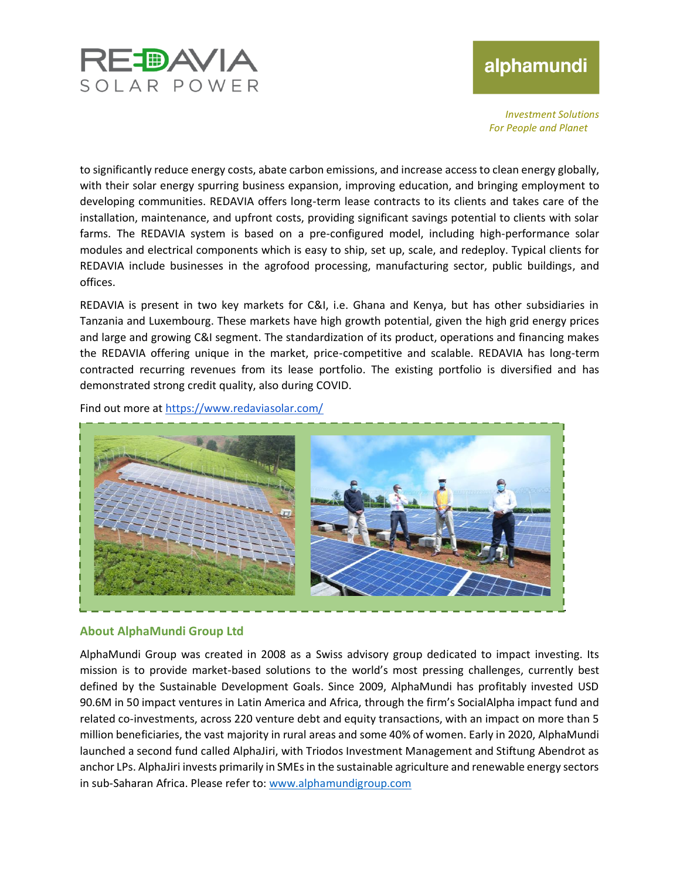

## alphamundi

*Investment Solutions For People and Planet*

to significantly reduce energy costs, abate carbon emissions, and increase access to clean energy globally, with their solar energy spurring business expansion, improving education, and bringing employment to developing communities. REDAVIA offers long-term lease contracts to its clients and takes care of the installation, maintenance, and upfront costs, providing significant savings potential to clients with solar farms. The REDAVIA system is based on a pre-configured model, including high-performance solar modules and electrical components which is easy to ship, set up, scale, and redeploy. Typical clients for REDAVIA include businesses in the agrofood processing, manufacturing sector, public buildings, and offices.

REDAVIA is present in two key markets for C&I, i.e. Ghana and Kenya, but has other subsidiaries in Tanzania and Luxembourg. These markets have high growth potential, given the high grid energy prices and large and growing C&I segment. The standardization of its product, operations and financing makes the REDAVIA offering unique in the market, price-competitive and scalable. REDAVIA has long-term contracted recurring revenues from its lease portfolio. The existing portfolio is diversified and has demonstrated strong credit quality, also during COVID.

Find out more at<https://www.redaviasolar.com/>



#### **About AlphaMundi Group Ltd**

AlphaMundi Group was created in 2008 as a Swiss advisory group dedicated to impact investing. Its mission is to provide market-based solutions to the world's most pressing challenges, currently best defined by the Sustainable Development Goals. Since 2009, AlphaMundi has profitably invested USD 90.6M in 50 impact ventures in Latin America and Africa, through the firm's SocialAlpha impact fund and related co-investments, across 220 venture debt and equity transactions, with an impact on more than 5 million beneficiaries, the vast majority in rural areas and some 40% of women. Early in 2020, AlphaMundi launched a second fund called AlphaJiri, with Triodos Investment Management and Stiftung Abendrot as anchor LPs. AlphaJiri invests primarily in SMEs in the sustainable agriculture and renewable energy sectors in sub-Saharan Africa. Please refer to: [www.alphamundigroup.com](http://www.alphamundigroup.com/)